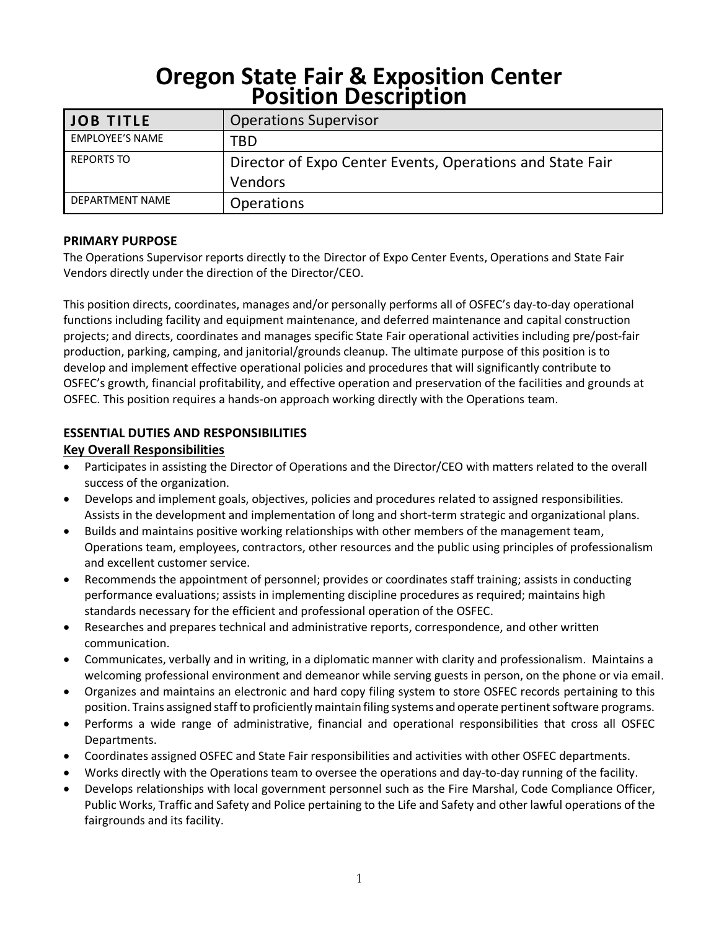# **Oregon State Fair & Exposition Center Position Description**

| <b>JOB TITLE</b>       | <b>Operations Supervisor</b>                              |  |  |  |
|------------------------|-----------------------------------------------------------|--|--|--|
| <b>EMPLOYEE'S NAME</b> | TBD                                                       |  |  |  |
| <b>REPORTS TO</b>      | Director of Expo Center Events, Operations and State Fair |  |  |  |
|                        | <b>Vendors</b>                                            |  |  |  |
| DEPARTMENT NAME        | <b>Operations</b>                                         |  |  |  |

## **PRIMARY PURPOSE**

The Operations Supervisor reports directly to the Director of Expo Center Events, Operations and State Fair Vendors directly under the direction of the Director/CEO.

This position directs, coordinates, manages and/or personally performs all of OSFEC's day-to-day operational functions including facility and equipment maintenance, and deferred maintenance and capital construction projects; and directs, coordinates and manages specific State Fair operational activities including pre/post-fair production, parking, camping, and janitorial/grounds cleanup. The ultimate purpose of this position is to develop and implement effective operational policies and procedures that will significantly contribute to OSFEC's growth, financial profitability, and effective operation and preservation of the facilities and grounds at OSFEC. This position requires a hands-on approach working directly with the Operations team.

# **ESSENTIAL DUTIES AND RESPONSIBILITIES**

## **Key Overall Responsibilities**

- Participates in assisting the Director of Operations and the Director/CEO with matters related to the overall success of the organization.
- Develops and implement goals, objectives, policies and procedures related to assigned responsibilities. Assists in the development and implementation of long and short-term strategic and organizational plans.
- Builds and maintains positive working relationships with other members of the management team, Operations team, employees, contractors, other resources and the public using principles of professionalism and excellent customer service.
- Recommends the appointment of personnel; provides or coordinates staff training; assists in conducting performance evaluations; assists in implementing discipline procedures as required; maintains high standards necessary for the efficient and professional operation of the OSFEC.
- Researches and prepares technical and administrative reports, correspondence, and other written communication.
- Communicates, verbally and in writing, in a diplomatic manner with clarity and professionalism. Maintains a welcoming professional environment and demeanor while serving guests in person, on the phone or via email.
- Organizes and maintains an electronic and hard copy filing system to store OSFEC records pertaining to this position. Trains assigned staff to proficiently maintain filing systems and operate pertinent software programs.
- Performs a wide range of administrative, financial and operational responsibilities that cross all OSFEC Departments.
- Coordinates assigned OSFEC and State Fair responsibilities and activities with other OSFEC departments.
- Works directly with the Operations team to oversee the operations and day-to-day running of the facility.
- Develops relationships with local government personnel such as the Fire Marshal, Code Compliance Officer, Public Works, Traffic and Safety and Police pertaining to the Life and Safety and other lawful operations of the fairgrounds and its facility.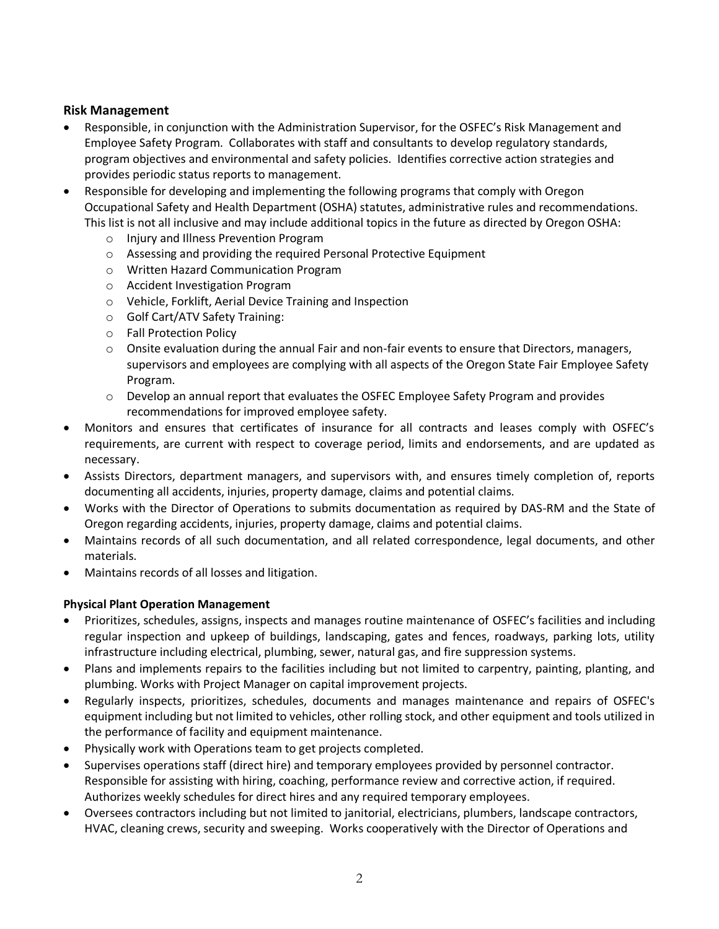## **Risk Management**

- Responsible, in conjunction with the Administration Supervisor, for the OSFEC's Risk Management and Employee Safety Program. Collaborates with staff and consultants to develop regulatory standards, program objectives and environmental and safety policies. Identifies corrective action strategies and provides periodic status reports to management.
- Responsible for developing and implementing the following programs that comply with Oregon Occupational Safety and Health Department (OSHA) statutes, administrative rules and recommendations. This list is not all inclusive and may include additional topics in the future as directed by Oregon OSHA:
	- o Injury and Illness Prevention Program
	- o Assessing and providing the required Personal Protective Equipment
	- o Written Hazard Communication Program
	- o Accident Investigation Program
	- o Vehicle, Forklift, Aerial Device Training and Inspection
	- o Golf Cart/ATV Safety Training:
	- o Fall Protection Policy
	- $\circ$  Onsite evaluation during the annual Fair and non-fair events to ensure that Directors, managers, supervisors and employees are complying with all aspects of the Oregon State Fair Employee Safety Program.
	- $\circ$  Develop an annual report that evaluates the OSFEC Employee Safety Program and provides recommendations for improved employee safety.
- Monitors and ensures that certificates of insurance for all contracts and leases comply with OSFEC's requirements, are current with respect to coverage period, limits and endorsements, and are updated as necessary.
- Assists Directors, department managers, and supervisors with, and ensures timely completion of, reports documenting all accidents, injuries, property damage, claims and potential claims.
- Works with the Director of Operations to submits documentation as required by DAS-RM and the State of Oregon regarding accidents, injuries, property damage, claims and potential claims.
- Maintains records of all such documentation, and all related correspondence, legal documents, and other materials.
- Maintains records of all losses and litigation.

# **Physical Plant Operation Management**

- Prioritizes, schedules, assigns, inspects and manages routine maintenance of OSFEC's facilities and including regular inspection and upkeep of buildings, landscaping, gates and fences, roadways, parking lots, utility infrastructure including electrical, plumbing, sewer, natural gas, and fire suppression systems.
- Plans and implements repairs to the facilities including but not limited to carpentry, painting, planting, and plumbing. Works with Project Manager on capital improvement projects.
- Regularly inspects, prioritizes, schedules, documents and manages maintenance and repairs of OSFEC's equipment including but not limited to vehicles, other rolling stock, and other equipment and tools utilized in the performance of facility and equipment maintenance.
- Physically work with Operations team to get projects completed.
- Supervises operations staff (direct hire) and temporary employees provided by personnel contractor. Responsible for assisting with hiring, coaching, performance review and corrective action, if required. Authorizes weekly schedules for direct hires and any required temporary employees.
- Oversees contractors including but not limited to janitorial, electricians, plumbers, landscape contractors, HVAC, cleaning crews, security and sweeping. Works cooperatively with the Director of Operations and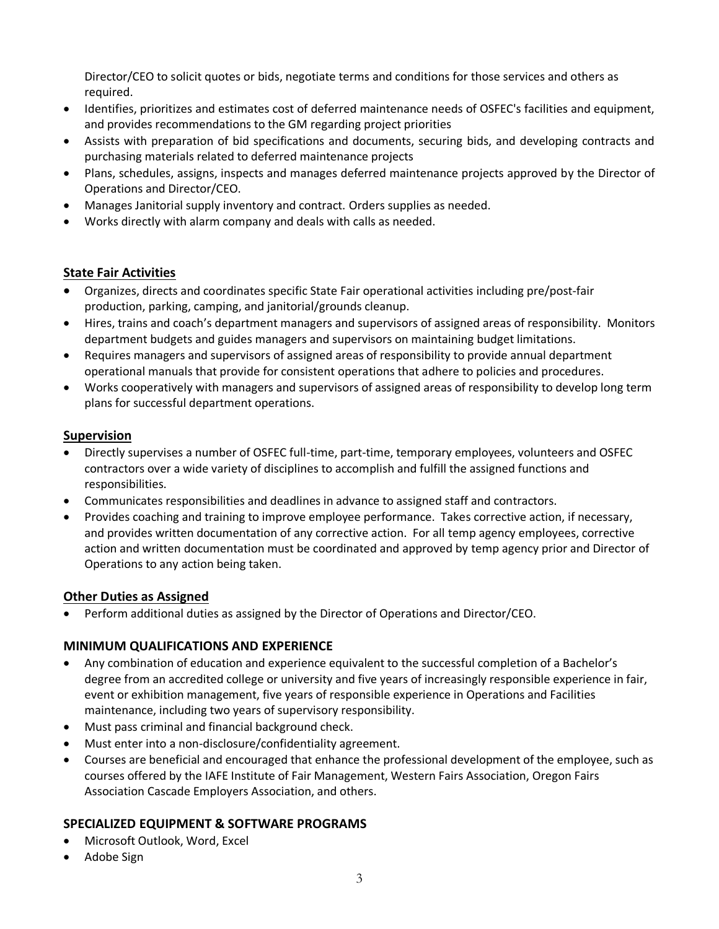Director/CEO to solicit quotes or bids, negotiate terms and conditions for those services and others as required.

- Identifies, prioritizes and estimates cost of deferred maintenance needs of OSFEC's facilities and equipment, and provides recommendations to the GM regarding project priorities
- Assists with preparation of bid specifications and documents, securing bids, and developing contracts and purchasing materials related to deferred maintenance projects
- Plans, schedules, assigns, inspects and manages deferred maintenance projects approved by the Director of Operations and Director/CEO.
- Manages Janitorial supply inventory and contract. Orders supplies as needed.
- Works directly with alarm company and deals with calls as needed.

## **State Fair Activities**

- Organizes, directs and coordinates specific State Fair operational activities including pre/post-fair production, parking, camping, and janitorial/grounds cleanup.
- Hires, trains and coach's department managers and supervisors of assigned areas of responsibility. Monitors department budgets and guides managers and supervisors on maintaining budget limitations.
- Requires managers and supervisors of assigned areas of responsibility to provide annual department operational manuals that provide for consistent operations that adhere to policies and procedures.
- Works cooperatively with managers and supervisors of assigned areas of responsibility to develop long term plans for successful department operations.

## **Supervision**

- Directly supervises a number of OSFEC full-time, part-time, temporary employees, volunteers and OSFEC contractors over a wide variety of disciplines to accomplish and fulfill the assigned functions and responsibilities.
- Communicates responsibilities and deadlines in advance to assigned staff and contractors.
- Provides coaching and training to improve employee performance. Takes corrective action, if necessary, and provides written documentation of any corrective action. For all temp agency employees, corrective action and written documentation must be coordinated and approved by temp agency prior and Director of Operations to any action being taken.

## **Other Duties as Assigned**

• Perform additional duties as assigned by the Director of Operations and Director/CEO.

## **MINIMUM QUALIFICATIONS AND EXPERIENCE**

- Any combination of education and experience equivalent to the successful completion of a Bachelor's degree from an accredited college or university and five years of increasingly responsible experience in fair, event or exhibition management, five years of responsible experience in Operations and Facilities maintenance, including two years of supervisory responsibility.
- Must pass criminal and financial background check.
- Must enter into a non-disclosure/confidentiality agreement.
- Courses are beneficial and encouraged that enhance the professional development of the employee, such as courses offered by the IAFE Institute of Fair Management, Western Fairs Association, Oregon Fairs Association Cascade Employers Association, and others.

## **SPECIALIZED EQUIPMENT & SOFTWARE PROGRAMS**

- Microsoft Outlook, Word, Excel
- Adobe Sign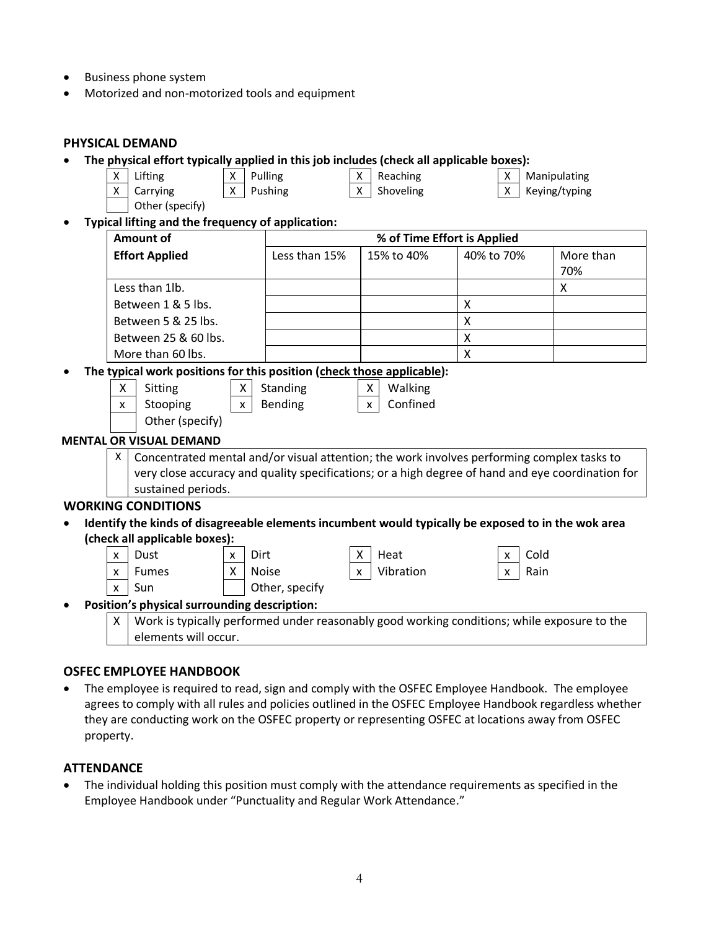- Business phone system
- Motorized and non-motorized tools and equipment

| <b>PHYSICAL DEMAND</b>                                                                   |                                                                                                                                                                                                 |                                                 |                                                                        |                 |                             |                  |  |  |
|------------------------------------------------------------------------------------------|-------------------------------------------------------------------------------------------------------------------------------------------------------------------------------------------------|-------------------------------------------------|------------------------------------------------------------------------|-----------------|-----------------------------|------------------|--|--|
| The physical effort typically applied in this job includes (check all applicable boxes): |                                                                                                                                                                                                 |                                                 |                                                                        |                 |                             |                  |  |  |
|                                                                                          | Lifting<br>X                                                                                                                                                                                    | X                                               | Pulling                                                                | Reaching<br>X   | Χ                           | Manipulating     |  |  |
|                                                                                          | X<br>Carrying                                                                                                                                                                                   | X                                               | Pushing                                                                | X<br>Shoveling  | X                           | Keying/typing    |  |  |
|                                                                                          | Other (specify)                                                                                                                                                                                 |                                                 |                                                                        |                 |                             |                  |  |  |
|                                                                                          |                                                                                                                                                                                                 |                                                 | Typical lifting and the frequency of application:                      |                 |                             |                  |  |  |
|                                                                                          | <b>Amount of</b>                                                                                                                                                                                |                                                 |                                                                        |                 | % of Time Effort is Applied |                  |  |  |
|                                                                                          | <b>Effort Applied</b>                                                                                                                                                                           |                                                 | Less than 15%                                                          | 15% to 40%      | 40% to 70%                  | More than<br>70% |  |  |
|                                                                                          | Less than 1lb.                                                                                                                                                                                  |                                                 |                                                                        |                 |                             | X                |  |  |
|                                                                                          | Between 1 & 5 lbs.                                                                                                                                                                              |                                                 |                                                                        |                 | $\pmb{\mathsf{X}}$          |                  |  |  |
|                                                                                          | Between 5 & 25 lbs.                                                                                                                                                                             |                                                 |                                                                        |                 | $\boldsymbol{\mathsf{X}}$   |                  |  |  |
|                                                                                          | Between 25 & 60 lbs.                                                                                                                                                                            |                                                 |                                                                        |                 | $\pmb{\times}$              |                  |  |  |
|                                                                                          | More than 60 lbs.                                                                                                                                                                               |                                                 |                                                                        |                 | X                           |                  |  |  |
|                                                                                          |                                                                                                                                                                                                 |                                                 | The typical work positions for this position (check those applicable): |                 |                             |                  |  |  |
|                                                                                          | Sitting<br>X                                                                                                                                                                                    | X.                                              | Standing                                                               | Walking<br>X    |                             |                  |  |  |
|                                                                                          | Stooping<br>x                                                                                                                                                                                   | Confined<br>Bending<br>$\times$<br>$\mathsf{x}$ |                                                                        |                 |                             |                  |  |  |
|                                                                                          |                                                                                                                                                                                                 | Other (specify)                                 |                                                                        |                 |                             |                  |  |  |
|                                                                                          | <b>MENTAL OR VISUAL DEMAND</b>                                                                                                                                                                  |                                                 |                                                                        |                 |                             |                  |  |  |
|                                                                                          | X                                                                                                                                                                                               |                                                 |                                                                        |                 |                             |                  |  |  |
|                                                                                          | Concentrated mental and/or visual attention; the work involves performing complex tasks to<br>very close accuracy and quality specifications; or a high degree of hand and eye coordination for |                                                 |                                                                        |                 |                             |                  |  |  |
|                                                                                          | sustained periods.                                                                                                                                                                              |                                                 |                                                                        |                 |                             |                  |  |  |
|                                                                                          | <b>WORKING CONDITIONS</b>                                                                                                                                                                       |                                                 |                                                                        |                 |                             |                  |  |  |
|                                                                                          |                                                                                                                                                                                                 |                                                 |                                                                        |                 |                             |                  |  |  |
|                                                                                          | Identify the kinds of disagreeable elements incumbent would typically be exposed to in the wok area<br>(check all applicable boxes):                                                            |                                                 |                                                                        |                 |                             |                  |  |  |
|                                                                                          | Dust<br>x                                                                                                                                                                                       | X                                               | Dirt                                                                   | Heat<br>x       | Cold<br>X                   |                  |  |  |
|                                                                                          | <b>Fumes</b><br>x                                                                                                                                                                               | X                                               | <b>Noise</b>                                                           | Vibration<br>X. | Rain<br>X                   |                  |  |  |
|                                                                                          | Sun<br>x                                                                                                                                                                                        |                                                 | Other, specify                                                         |                 |                             |                  |  |  |
|                                                                                          | Position's physical surrounding description:                                                                                                                                                    |                                                 |                                                                        |                 |                             |                  |  |  |
|                                                                                          | Work is typically performed under reasonably good working conditions; while exposure to the<br>X.                                                                                               |                                                 |                                                                        |                 |                             |                  |  |  |
|                                                                                          | elements will occur.                                                                                                                                                                            |                                                 |                                                                        |                 |                             |                  |  |  |

#### **OSFEC EMPLOYEE HANDBOOK**

• The employee is required to read, sign and comply with the OSFEC Employee Handbook. The employee agrees to comply with all rules and policies outlined in the OSFEC Employee Handbook regardless whether they are conducting work on the OSFEC property or representing OSFEC at locations away from OSFEC property.

## **ATTENDANCE**

• The individual holding this position must comply with the attendance requirements as specified in the Employee Handbook under "Punctuality and Regular Work Attendance."